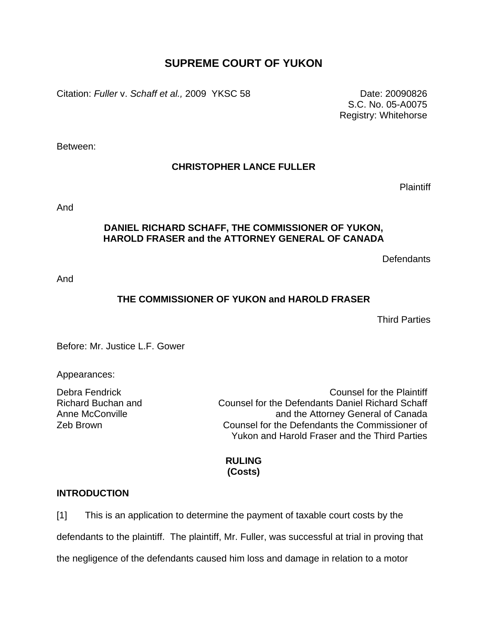# **SUPREME COURT OF YUKON**

Citation: *Fuller* v. *Schaff et al.,* 2009 YKSC 58 Date: 20090826

S.C. No. 05-A0075 Registry: Whitehorse

Between:

## **CHRISTOPHER LANCE FULLER**

Plaintiff

And

### **DANIEL RICHARD SCHAFF, THE COMMISSIONER OF YUKON, HAROLD FRASER and the ATTORNEY GENERAL OF CANADA**

**Defendants** 

And

## **THE COMMISSIONER OF YUKON and HAROLD FRASER**

Third Parties

Before: Mr. Justice L.F. Gower

Appearances:

Richard Buchan and Anne McConville

Debra Fendrick Counsel for the Plaintiff Counsel for the Defendants Daniel Richard Schaff and the Attorney General of Canada Zeb Brown Counsel for the Defendants the Commissioner of Yukon and Harold Fraser and the Third Parties

## **RULING (Costs)**

## **INTRODUCTION**

[1] This is an application to determine the payment of taxable court costs by the defendants to the plaintiff. The plaintiff, Mr. Fuller, was successful at trial in proving that the negligence of the defendants caused him loss and damage in relation to a motor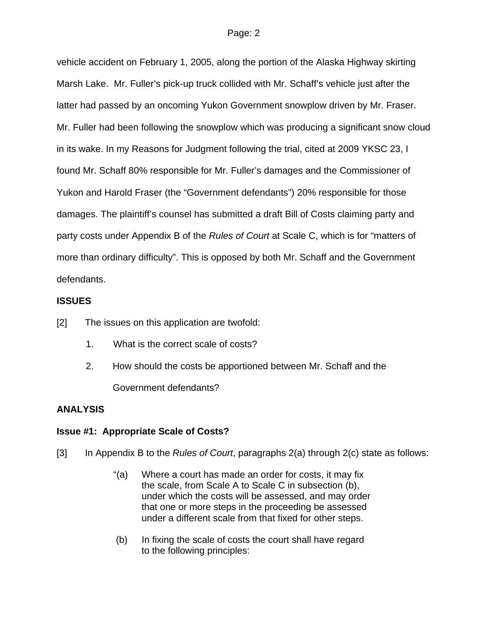vehicle accident on February 1, 2005, along the portion of the Alaska Highway skirting Marsh Lake. Mr. Fuller's pick-up truck collided with Mr. Schaff's vehicle just after the latter had passed by an oncoming Yukon Government snowplow driven by Mr. Fraser. Mr. Fuller had been following the snowplow which was producing a significant snow cloud in its wake. In my Reasons for Judgment following the trial, cited at 2009 YKSC 23, I found Mr. Schaff 80% responsible for Mr. Fuller's damages and the Commissioner of Yukon and Harold Fraser (the "Government defendants") 20% responsible for those damages. The plaintiff's counsel has submitted a draft Bill of Costs claiming party and party costs under Appendix B of the *Rules of Court* at Scale C, which is for "matters of more than ordinary difficulty". This is opposed by both Mr. Schaff and the Government defendants.

## **ISSUES**

[2] The issues on this application are twofold:

- 1. What is the correct scale of costs?
- 2. How should the costs be apportioned between Mr. Schaff and the Government defendants?

## **ANALYSIS**

## **Issue #1: Appropriate Scale of Costs?**

[3] In Appendix B to the *Rules of Court*, paragraphs 2(a) through 2(c) state as follows:

- "(a) Where a court has made an order for costs, it may fix the scale, from Scale A to Scale C in subsection (b), under which the costs will be assessed, and may order that one or more steps in the proceeding be assessed under a different scale from that fixed for other steps.
- (b) In fixing the scale of costs the court shall have regard to the following principles: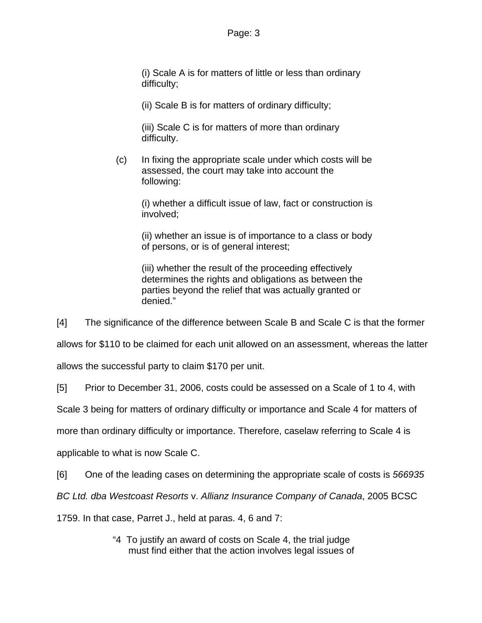(i) Scale A is for matters of little or less than ordinary difficulty;

(ii) Scale B is for matters of ordinary difficulty;

(iii) Scale C is for matters of more than ordinary difficulty.

 (c) In fixing the appropriate scale under which costs will be assessed, the court may take into account the following:

(i) whether a difficult issue of law, fact or construction is involved;

(ii) whether an issue is of importance to a class or body of persons, or is of general interest;

(iii) whether the result of the proceeding effectively determines the rights and obligations as between the parties beyond the relief that was actually granted or denied."

[4] The significance of the difference between Scale B and Scale C is that the former

allows for \$110 to be claimed for each unit allowed on an assessment, whereas the latter

allows the successful party to claim \$170 per unit.

[5] Prior to December 31, 2006, costs could be assessed on a Scale of 1 to 4, with

Scale 3 being for matters of ordinary difficulty or importance and Scale 4 for matters of

more than ordinary difficulty or importance. Therefore, caselaw referring to Scale 4 is

applicable to what is now Scale C.

[6] One of the leading cases on determining the appropriate scale of costs is *566935* 

*BC Ltd. dba Westcoast Resorts* v. *Allianz Insurance Company of Canada*, 2005 BCSC

1759. In that case, Parret J., held at paras. 4, 6 and 7:

"4 To justify an award of costs on Scale 4, the trial judge must find either that the action involves legal issues of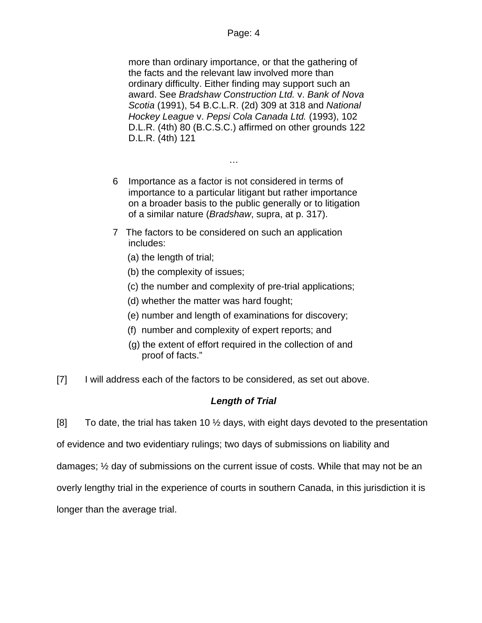more than ordinary importance, or that the gathering of the facts and the relevant law involved more than ordinary difficulty. Either finding may support such an award. See *Bradshaw Construction Ltd.* v. *Bank of Nova Scotia* [\(1991\), 54 B.C.L.R. \(2d\) 309](http://www.lexisnexis.com/ca/legal/search/runRemoteLink.do?service=citation&langcountry=CA&risb=21_T7147561723&A=0.9532182697949534&linkInfo=F%23CA%23BCLR2%23year%251991%25page%25309%25decisiondate%251991%25vol%2554%25sel2%2554%25sel1%251991%25&bct=A) at 318 and *National Hockey League* v. *Pepsi Cola Canada Ltd.* [\(1993\), 102](http://www.lexisnexis.com/ca/legal/search/runRemoteLink.do?service=citation&langcountry=CA&risb=21_T7147561723&A=0.5805378517328718&linkInfo=F%23CA%23DLR4%23year%251993%25page%2580%25decisiondate%251993%25vol%25102%25sel2%25102%25sel1%251993%25&bct=A)  [D.L.R. \(4th\) 80](http://www.lexisnexis.com/ca/legal/search/runRemoteLink.do?service=citation&langcountry=CA&risb=21_T7147561723&A=0.5805378517328718&linkInfo=F%23CA%23DLR4%23year%251993%25page%2580%25decisiondate%251993%25vol%25102%25sel2%25102%25sel1%251993%25&bct=A) (B.C.S.C.) affirmed on other grounds [122](http://www.lexisnexis.com/ca/legal/search/runRemoteLink.do?service=citation&langcountry=CA&risb=21_T7147561723&A=0.5862659273589492&linkInfo=F%23CA%23DLR4%23page%25121%25vol%25122%25sel2%25122%25&bct=A)  [D.L.R. \(4th\) 121](http://www.lexisnexis.com/ca/legal/search/runRemoteLink.do?service=citation&langcountry=CA&risb=21_T7147561723&A=0.5862659273589492&linkInfo=F%23CA%23DLR4%23page%25121%25vol%25122%25sel2%25122%25&bct=A)

6 Importance as a factor is not considered in terms of importance to a particular litigant but rather importance on a broader basis to the public generally or to litigation of a similar nature (*Bradshaw*, supra, at p. 317).

…

- 7 The factors to be considered on such an application includes:
	- (a) the length of trial;
	- (b) the complexity of issues;
	- (c) the number and complexity of pre-trial applications;
	- (d) whether the matter was hard fought;
	- (e) number and length of examinations for discovery;
	- (f) number and complexity of expert reports; and
	- (g) the extent of effort required in the collection of and proof of facts."
- [7] I will address each of the factors to be considered, as set out above.

## *Length of Trial*

[8] To date, the trial has taken 10  $\frac{1}{2}$  days, with eight days devoted to the presentation

of evidence and two evidentiary rulings; two days of submissions on liability and

damages; ½ day of submissions on the current issue of costs. While that may not be an

overly lengthy trial in the experience of courts in southern Canada, in this jurisdiction it is

longer than the average trial.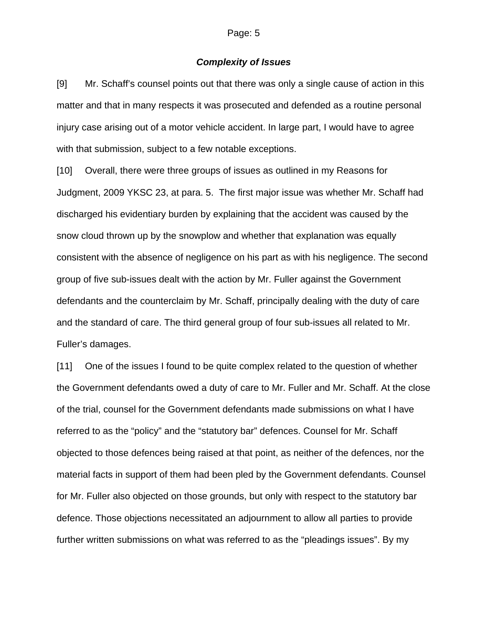### *Complexity of Issues*

[9] Mr. Schaff's counsel points out that there was only a single cause of action in this matter and that in many respects it was prosecuted and defended as a routine personal injury case arising out of a motor vehicle accident. In large part, I would have to agree with that submission, subject to a few notable exceptions.

[10] Overall, there were three groups of issues as outlined in my Reasons for Judgment, 2009 YKSC 23, at para. 5. The first major issue was whether Mr. Schaff had discharged his evidentiary burden by explaining that the accident was caused by the snow cloud thrown up by the snowplow and whether that explanation was equally consistent with the absence of negligence on his part as with his negligence. The second group of five sub-issues dealt with the action by Mr. Fuller against the Government defendants and the counterclaim by Mr. Schaff, principally dealing with the duty of care and the standard of care. The third general group of four sub-issues all related to Mr. Fuller's damages.

[11] One of the issues I found to be quite complex related to the question of whether the Government defendants owed a duty of care to Mr. Fuller and Mr. Schaff. At the close of the trial, counsel for the Government defendants made submissions on what I have referred to as the "policy" and the "statutory bar" defences. Counsel for Mr. Schaff objected to those defences being raised at that point, as neither of the defences, nor the material facts in support of them had been pled by the Government defendants. Counsel for Mr. Fuller also objected on those grounds, but only with respect to the statutory bar defence. Those objections necessitated an adjournment to allow all parties to provide further written submissions on what was referred to as the "pleadings issues". By my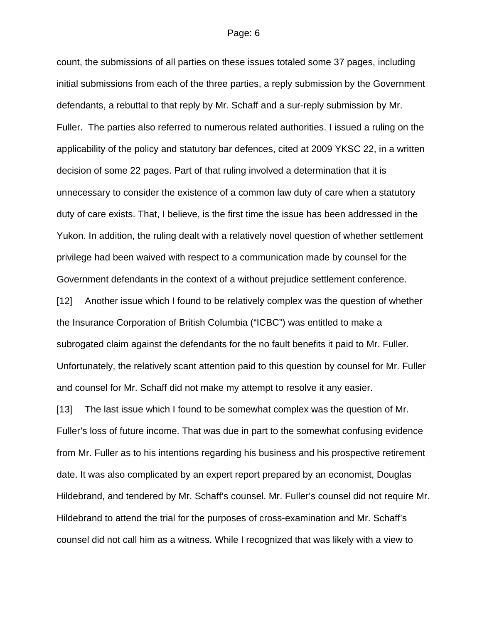count, the submissions of all parties on these issues totaled some 37 pages, including initial submissions from each of the three parties, a reply submission by the Government defendants, a rebuttal to that reply by Mr. Schaff and a sur-reply submission by Mr. Fuller. The parties also referred to numerous related authorities. I issued a ruling on the applicability of the policy and statutory bar defences, cited at 2009 YKSC 22, in a written decision of some 22 pages. Part of that ruling involved a determination that it is unnecessary to consider the existence of a common law duty of care when a statutory duty of care exists. That, I believe, is the first time the issue has been addressed in the Yukon. In addition, the ruling dealt with a relatively novel question of whether settlement privilege had been waived with respect to a communication made by counsel for the Government defendants in the context of a without prejudice settlement conference.

[12] Another issue which I found to be relatively complex was the question of whether the Insurance Corporation of British Columbia ("ICBC") was entitled to make a subrogated claim against the defendants for the no fault benefits it paid to Mr. Fuller. Unfortunately, the relatively scant attention paid to this question by counsel for Mr. Fuller and counsel for Mr. Schaff did not make my attempt to resolve it any easier.

[13] The last issue which I found to be somewhat complex was the question of Mr. Fuller's loss of future income. That was due in part to the somewhat confusing evidence from Mr. Fuller as to his intentions regarding his business and his prospective retirement date. It was also complicated by an expert report prepared by an economist, Douglas Hildebrand, and tendered by Mr. Schaff's counsel. Mr. Fuller's counsel did not require Mr. Hildebrand to attend the trial for the purposes of cross-examination and Mr. Schaff's counsel did not call him as a witness. While I recognized that was likely with a view to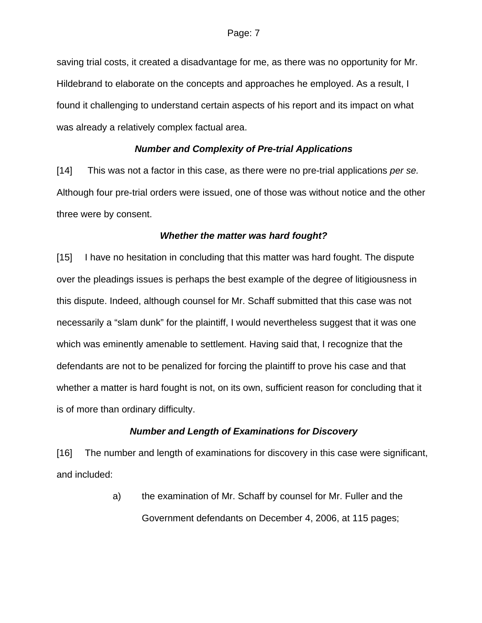saving trial costs, it created a disadvantage for me, as there was no opportunity for Mr. Hildebrand to elaborate on the concepts and approaches he employed. As a result, I found it challenging to understand certain aspects of his report and its impact on what was already a relatively complex factual area.

### *Number and Complexity of Pre-trial Applications*

[14] This was not a factor in this case, as there were no pre-trial applications *per se.* Although four pre-trial orders were issued, one of those was without notice and the other three were by consent.

### *Whether the matter was hard fought?*

[15] I have no hesitation in concluding that this matter was hard fought. The dispute over the pleadings issues is perhaps the best example of the degree of litigiousness in this dispute. Indeed, although counsel for Mr. Schaff submitted that this case was not necessarily a "slam dunk" for the plaintiff, I would nevertheless suggest that it was one which was eminently amenable to settlement. Having said that, I recognize that the defendants are not to be penalized for forcing the plaintiff to prove his case and that whether a matter is hard fought is not, on its own, sufficient reason for concluding that it is of more than ordinary difficulty.

### *Number and Length of Examinations for Discovery*

[16] The number and length of examinations for discovery in this case were significant, and included:

> a) the examination of Mr. Schaff by counsel for Mr. Fuller and the Government defendants on December 4, 2006, at 115 pages;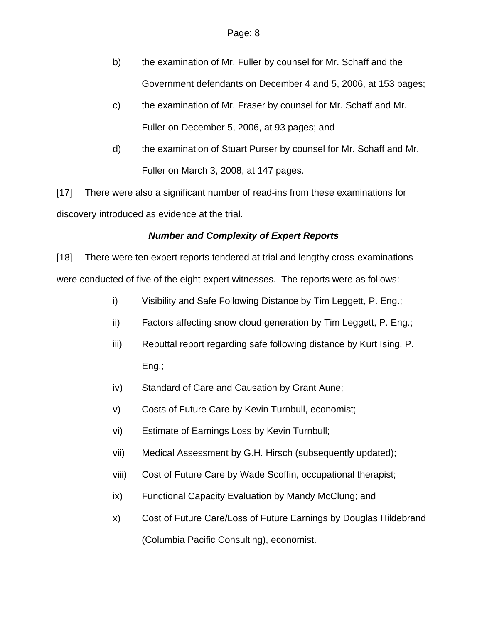- b) the examination of Mr. Fuller by counsel for Mr. Schaff and the Government defendants on December 4 and 5, 2006, at 153 pages;
- c) the examination of Mr. Fraser by counsel for Mr. Schaff and Mr. Fuller on December 5, 2006, at 93 pages; and
- d) the examination of Stuart Purser by counsel for Mr. Schaff and Mr. Fuller on March 3, 2008, at 147 pages.

[17] There were also a significant number of read-ins from these examinations for discovery introduced as evidence at the trial.

## *Number and Complexity of Expert Reports*

[18] There were ten expert reports tendered at trial and lengthy cross-examinations were conducted of five of the eight expert witnesses. The reports were as follows:

- i) Visibility and Safe Following Distance by Tim Leggett, P. Eng.;
- ii) Factors affecting snow cloud generation by Tim Leggett, P. Eng.;
- iii) Rebuttal report regarding safe following distance by Kurt Ising, P. Eng.;
- iv) Standard of Care and Causation by Grant Aune;
- v) Costs of Future Care by Kevin Turnbull, economist;
- vi) Estimate of Earnings Loss by Kevin Turnbull;
- vii) Medical Assessment by G.H. Hirsch (subsequently updated);
- viii) Cost of Future Care by Wade Scoffin, occupational therapist;
- ix) Functional Capacity Evaluation by Mandy McClung; and
- x) Cost of Future Care/Loss of Future Earnings by Douglas Hildebrand (Columbia Pacific Consulting), economist.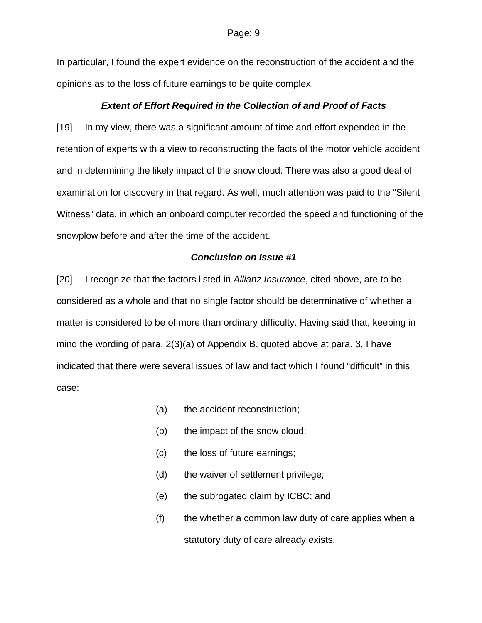In particular, I found the expert evidence on the reconstruction of the accident and the opinions as to the loss of future earnings to be quite complex.

### *Extent of Effort Required in the Collection of and Proof of Facts*

[19] In my view, there was a significant amount of time and effort expended in the retention of experts with a view to reconstructing the facts of the motor vehicle accident and in determining the likely impact of the snow cloud. There was also a good deal of examination for discovery in that regard. As well, much attention was paid to the "Silent Witness" data, in which an onboard computer recorded the speed and functioning of the snowplow before and after the time of the accident.

### *Conclusion on Issue #1*

[20] I recognize that the factors listed in *Allianz Insurance*, cited above, are to be considered as a whole and that no single factor should be determinative of whether a matter is considered to be of more than ordinary difficulty. Having said that, keeping in mind the wording of para. 2(3)(a) of Appendix B, quoted above at para. 3, I have indicated that there were several issues of law and fact which I found "difficult" in this case:

- (a) the accident reconstruction;
- (b) the impact of the snow cloud;
- (c) the loss of future earnings;
- (d) the waiver of settlement privilege;
- (e) the subrogated claim by ICBC; and
- (f) the whether a common law duty of care applies when a statutory duty of care already exists.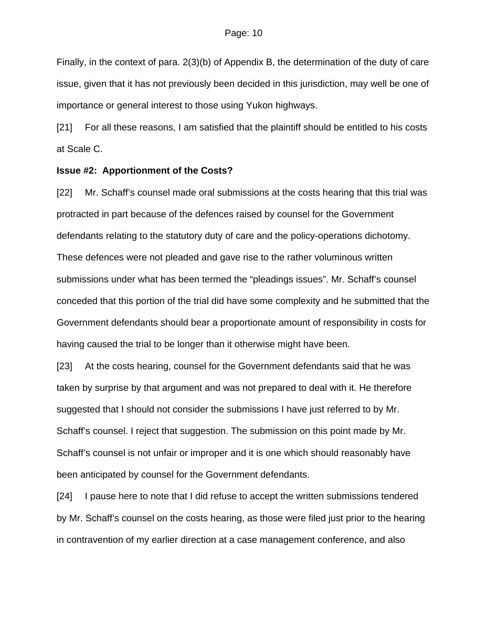Finally, in the context of para. 2(3)(b) of Appendix B, the determination of the duty of care issue, given that it has not previously been decided in this jurisdiction, may well be one of importance or general interest to those using Yukon highways.

[21] For all these reasons, I am satisfied that the plaintiff should be entitled to his costs at Scale C.

### **Issue #2: Apportionment of the Costs?**

[22] Mr. Schaff's counsel made oral submissions at the costs hearing that this trial was protracted in part because of the defences raised by counsel for the Government defendants relating to the statutory duty of care and the policy-operations dichotomy. These defences were not pleaded and gave rise to the rather voluminous written submissions under what has been termed the "pleadings issues". Mr. Schaff's counsel conceded that this portion of the trial did have some complexity and he submitted that the Government defendants should bear a proportionate amount of responsibility in costs for having caused the trial to be longer than it otherwise might have been.

[23] At the costs hearing, counsel for the Government defendants said that he was taken by surprise by that argument and was not prepared to deal with it. He therefore suggested that I should not consider the submissions I have just referred to by Mr. Schaff's counsel. I reject that suggestion. The submission on this point made by Mr. Schaff's counsel is not unfair or improper and it is one which should reasonably have been anticipated by counsel for the Government defendants.

[24] I pause here to note that I did refuse to accept the written submissions tendered by Mr. Schaff's counsel on the costs hearing, as those were filed just prior to the hearing in contravention of my earlier direction at a case management conference, and also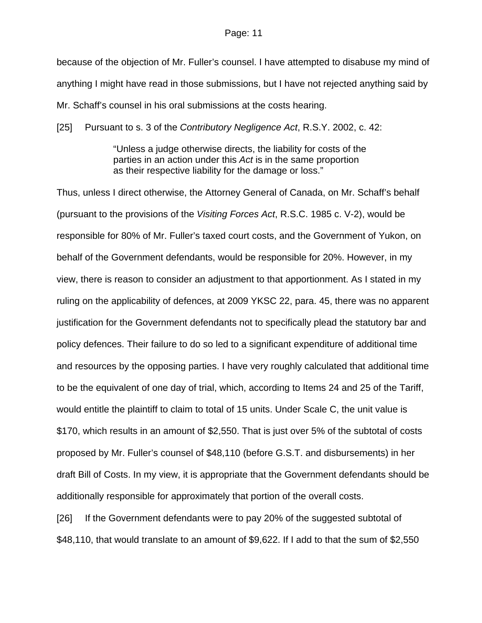because of the objection of Mr. Fuller's counsel. I have attempted to disabuse my mind of anything I might have read in those submissions, but I have not rejected anything said by Mr. Schaff's counsel in his oral submissions at the costs hearing.

[25] Pursuant to s. 3 of the *Contributory Negligence Act*, R.S.Y. 2002, c. 42:

"Unless a judge otherwise directs, the liability for costs of the parties in an action under this *Act* is in the same proportion as their respective liability for the damage or loss."

Thus, unless I direct otherwise, the Attorney General of Canada, on Mr. Schaff's behalf (pursuant to the provisions of the *Visiting Forces Act*, R.S.C. 1985 c. V-2), would be responsible for 80% of Mr. Fuller's taxed court costs, and the Government of Yukon, on behalf of the Government defendants, would be responsible for 20%. However, in my view, there is reason to consider an adjustment to that apportionment. As I stated in my ruling on the applicability of defences, at 2009 YKSC 22, para. 45, there was no apparent justification for the Government defendants not to specifically plead the statutory bar and policy defences. Their failure to do so led to a significant expenditure of additional time and resources by the opposing parties. I have very roughly calculated that additional time to be the equivalent of one day of trial, which, according to Items 24 and 25 of the Tariff, would entitle the plaintiff to claim to total of 15 units. Under Scale C, the unit value is \$170, which results in an amount of \$2,550. That is just over 5% of the subtotal of costs proposed by Mr. Fuller's counsel of \$48,110 (before G.S.T. and disbursements) in her draft Bill of Costs. In my view, it is appropriate that the Government defendants should be additionally responsible for approximately that portion of the overall costs.

[26] If the Government defendants were to pay 20% of the suggested subtotal of \$48,110, that would translate to an amount of \$9,622. If I add to that the sum of \$2,550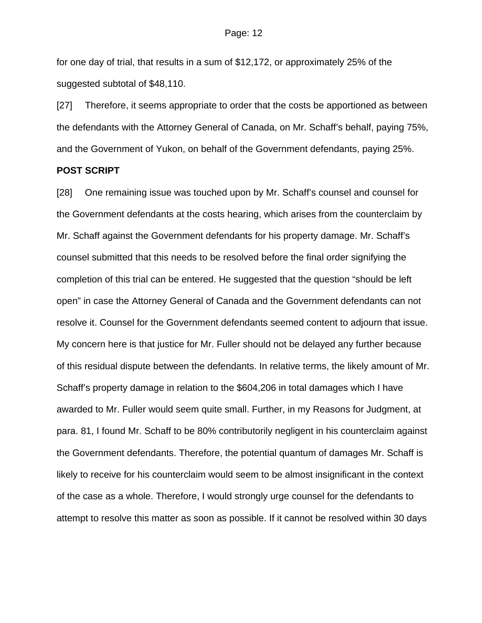for one day of trial, that results in a sum of \$12,172, or approximately 25% of the suggested subtotal of \$48,110.

[27] Therefore, it seems appropriate to order that the costs be apportioned as between the defendants with the Attorney General of Canada, on Mr. Schaff's behalf, paying 75%, and the Government of Yukon, on behalf of the Government defendants, paying 25%.

#### **POST SCRIPT**

[28] One remaining issue was touched upon by Mr. Schaff's counsel and counsel for the Government defendants at the costs hearing, which arises from the counterclaim by Mr. Schaff against the Government defendants for his property damage. Mr. Schaff's counsel submitted that this needs to be resolved before the final order signifying the completion of this trial can be entered. He suggested that the question "should be left open" in case the Attorney General of Canada and the Government defendants can not resolve it. Counsel for the Government defendants seemed content to adjourn that issue. My concern here is that justice for Mr. Fuller should not be delayed any further because of this residual dispute between the defendants. In relative terms, the likely amount of Mr. Schaff's property damage in relation to the \$604,206 in total damages which I have awarded to Mr. Fuller would seem quite small. Further, in my Reasons for Judgment, at para. 81, I found Mr. Schaff to be 80% contributorily negligent in his counterclaim against the Government defendants. Therefore, the potential quantum of damages Mr. Schaff is likely to receive for his counterclaim would seem to be almost insignificant in the context of the case as a whole. Therefore, I would strongly urge counsel for the defendants to attempt to resolve this matter as soon as possible. If it cannot be resolved within 30 days